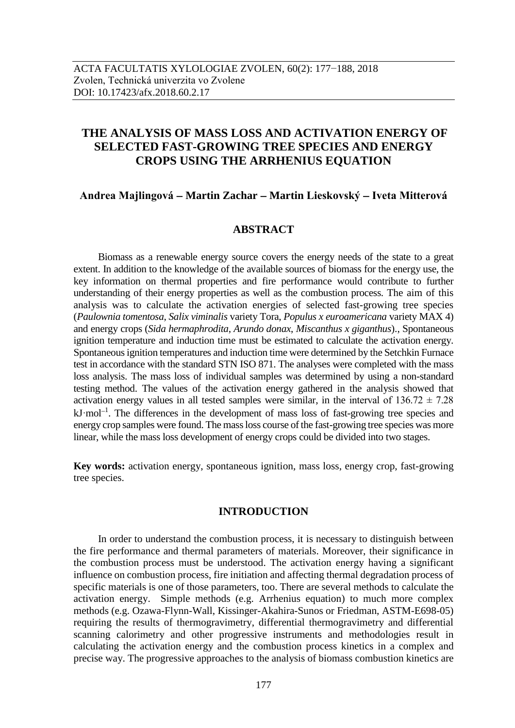# **THE ANALYSIS OF MASS LOSS AND ACTIVATION ENERGY OF SELECTED FAST-GROWING TREE SPECIES AND ENERGY CROPS USING THE ARRHENIUS EQUATION**

## **Andrea Majlingová Martin Zachar Martin Lieskovský Iveta Mitterová**

## **ABSTRACT**

Biomass as a renewable energy source covers the energy needs of the state to a great extent. In addition to the knowledge of the available sources of biomass for the energy use, the key information on thermal properties and fire performance would contribute to further understanding of their energy properties as well as the combustion process. The aim of this analysis was to calculate the activation energies of selected fast-growing tree species (*Paulownia tomentosa*, *Salix viminalis* variety Tora, *Populus x euroamericana* variety MAX 4) and energy crops (*Sida hermaphrodita*, *Arundo donax*, *Miscanthus x giganthus*)., Spontaneous ignition temperature and induction time must be estimated to calculate the activation energy. Spontaneous ignition temperatures and induction time were determined by the Setchkin Furnace test in accordance with the standard STN ISO 871. The analyses were completed with the mass loss analysis. The mass loss of individual samples was determined by using a non-standard testing method. The values of the activation energy gathered in the analysis showed that activation energy values in all tested samples were similar, in the interval of  $136.72 \pm 7.28$  $kJ \cdot mol^{-1}$ . The differences in the development of mass loss of fast-growing tree species and energy crop samples were found. The mass loss course of the fast-growing tree species was more linear, while the mass loss development of energy crops could be divided into two stages.

**Key words:** activation energy, spontaneous ignition, mass loss, energy crop, fast-growing tree species.

## **INTRODUCTION**

In order to understand the combustion process, it is necessary to distinguish between the fire performance and thermal parameters of materials. Moreover, their significance in the combustion process must be understood. The activation energy having a significant influence on combustion process, fire initiation and affecting thermal degradation process of specific materials is one of those parameters, too. There are several methods to calculate the activation energy. Simple methods (e.g. Arrhenius equation) to much more complex methods (e.g. Ozawa-Flynn-Wall, Kissinger-Akahira-Sunos or Friedman, ASTM-E698-05) requiring the results of thermogravimetry, differential thermogravimetry and differential scanning calorimetry and other progressive instruments and methodologies result in calculating the activation energy and the combustion process kinetics in a complex and precise way. The progressive approaches to the analysis of biomass combustion kinetics are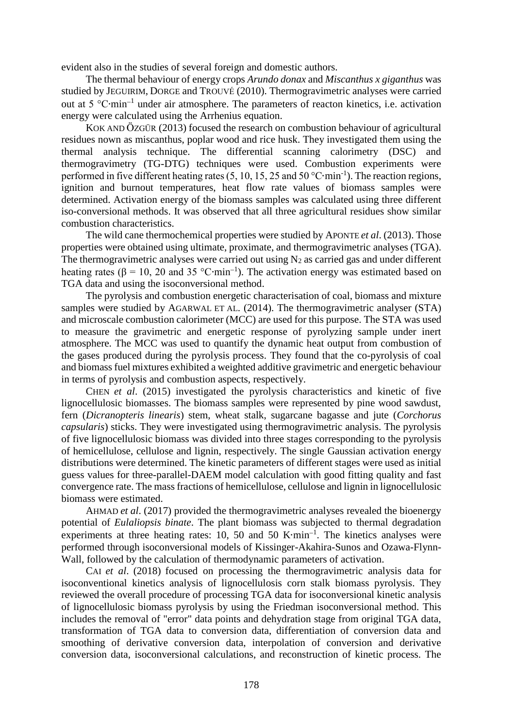evident also in the studies of several foreign and domestic authors.

The thermal behaviour of energy crops *Arundo donax* and *Miscanthus x giganthus* was studied by JEGUIRIM, DORGE and TROUVÉ (2010). Thermogravimetric analyses were carried out at 5 °C∙min<sup>-1</sup> under air atmosphere. The parameters of reacton kinetics, i.e. activation energy were calculated using the Arrhenius equation.

KOK AND ÖZGÜR (2013) focused the research on combustion behaviour of agricultural residues nown as miscanthus, poplar wood and rice husk. They investigated them using the thermal analysis technique. The differential scanning calorimetry (DSC) and thermogravimetry (TG-DTG) techniques were used. Combustion experiments were performed in five different heating rates (5, 10, 15, 25 and 50 °C⋅min<sup>-1</sup>). The reaction regions, ignition and burnout temperatures, heat flow rate values of biomass samples were determined. Activation energy of the biomass samples was calculated using three different iso-conversional methods. It was observed that all three agricultural residues show similar combustion characteristics.

The wild cane thermochemical properties were studied by APONTE *et al*. (2013). Those properties were obtained using ultimate, proximate, and thermogravimetric analyses (TGA). The thermogravimetric analyses were carried out using  $N_2$  as carried gas and under different heating rates ( $\beta$  = 10, 20 and 35 °C⋅min<sup>-1</sup>). The activation energy was estimated based on TGA data and using the isoconversional method.

The pyrolysis and combustion energetic characterisation of coal, biomass and mixture samples were studied by AGARWAL ET AL. (2014). The thermogravimetric analyser (STA) and microscale combustion calorimeter (MCC) are used for this purpose. The STA was used to measure the gravimetric and energetic response of pyrolyzing sample under inert atmosphere. The MCC was used to quantify the dynamic heat output from combustion of the gases produced during the pyrolysis process. They found that the co-pyrolysis of coal and biomass fuel mixtures exhibited a weighted additive gravimetric and energetic behaviour in terms of pyrolysis and combustion aspects, respectively.

CHEN *et al*. (2015) investigated the pyrolysis characteristics and kinetic of five lignocellulosic biomasses. The biomass samples were represented by pine wood sawdust, fern (*Dicranopteris linearis*) stem, wheat stalk, sugarcane bagasse and jute (*Corchorus capsularis*) sticks. They were investigated using thermogravimetric analysis. The pyrolysis of five lignocellulosic biomass was divided into three stages corresponding to the pyrolysis of hemicellulose, cellulose and lignin, respectively. The single Gaussian activation energy distributions were determined. The kinetic parameters of different stages were used as initial guess values for three-parallel-DAEM model calculation with good fitting quality and fast convergence rate. The mass fractions of hemicellulose, cellulose and lignin in lignocellulosic biomass were estimated.

AHMAD *et al*. (2017) provided the thermogravimetric analyses revealed the bioenergy potential of *Eulaliopsis binate*. The plant biomass was subjected to thermal degradation experiments at three heating rates: 10, 50 and 50 K⋅min<sup>-1</sup>. The kinetics analyses were performed through isoconversional models of Kissinger-Akahira-Sunos and Ozawa-Flynn-Wall, followed by the calculation of thermodynamic parameters of activation.

CAI *et al*. (2018) focused on processing the thermogravimetric analysis data for isoconventional kinetics analysis of lignocellulosis corn stalk biomass pyrolysis. They reviewed the overall procedure of processing TGA data for isoconversional kinetic analysis of lignocellulosic biomass pyrolysis by using the Friedman isoconversional method. This includes the removal of "error" data points and dehydration stage from original TGA data, transformation of TGA data to conversion data, differentiation of conversion data and smoothing of derivative conversion data, interpolation of conversion and derivative conversion data, isoconversional calculations, and reconstruction of kinetic process. The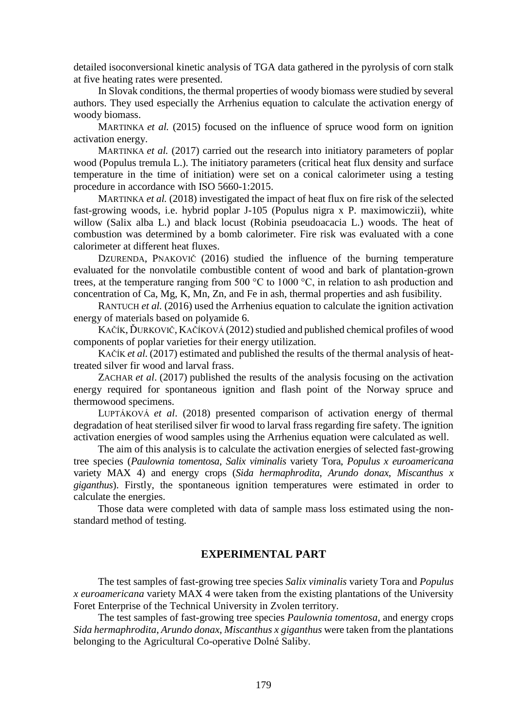detailed isoconversional kinetic analysis of TGA data gathered in the pyrolysis of corn stalk at five heating rates were presented.

In Slovak conditions, the thermal properties of woody biomass were studied by several authors. They used especially the Arrhenius equation to calculate the activation energy of woody biomass.

MARTINKA *et al.* (2015) focused on the influence of spruce wood form on ignition activation energy.

MARTINKA *et al.* (2017) carried out the research into initiatory parameters of poplar wood (Populus tremula L.). The initiatory parameters (critical heat flux density and surface temperature in the time of initiation) were set on a conical calorimeter using a testing procedure in accordance with ISO 5660-1:2015.

MARTINKA *et al.* (2018) investigated the impact of heat flux on fire risk of the selected fast-growing woods, i.e. hybrid poplar J-105 (Populus nigra x P. maximowiczii), white willow (Salix alba L.) and black locust (Robinia pseudoacacia L.) woods. The heat of combustion was determined by a bomb calorimeter. Fire risk was evaluated with a cone calorimeter at different heat fluxes.

DZURENDA, PNAKOVIČ (2016) studied the influence of the burning temperature evaluated for the nonvolatile combustible content of wood and bark of plantation-grown trees, at the temperature ranging from 500 °C to 1000 °C, in relation to ash production and concentration of Ca, Mg, K, Mn, Zn, and Fe in ash, thermal properties and ash fusibility.

RANTUCH *et al.* (2016) used the Arrhenius equation to calculate the ignition activation energy of materials based on polyamide 6.

KAČÍK, ĎURKOVIČ, KAČÍKOVÁ (2012) studied and published chemical profiles of wood components of poplar varieties for their energy utilization.

KAČÍK *et al.* (2017) estimated and published the results of the thermal analysis of heattreated silver fir wood and larval frass.

ZACHAR *et al*. (2017) published the results of the analysis focusing on the activation energy required for spontaneous ignition and flash point of the Norway spruce and thermowood specimens.

LUPTÁKOVÁ *et al*. (2018) presented comparison of activation energy of thermal degradation of heat sterilised silver fir wood to larval frass regarding fire safety. The ignition activation energies of wood samples using the Arrhenius equation were calculated as well.

The aim of this analysis is to calculate the activation energies of selected fast-growing tree species (*Paulownia tomentosa*, *Salix viminalis* variety Tora, *Populus x euroamericana* variety MAX 4) and energy crops (*Sida hermaphrodita*, *Arundo donax*, *Miscanthus x giganthus*). Firstly, the spontaneous ignition temperatures were estimated in order to calculate the energies.

Those data were completed with data of sample mass loss estimated using the nonstandard method of testing.

## **EXPERIMENTAL PART**

The test samples of fast-growing tree species *Salix viminalis* variety Tora and *Populus x euroamericana* variety MAX 4 were taken from the existing plantations of the University Foret Enterprise of the Technical University in Zvolen territory.

The test samples of fast-growing tree species *Paulownia tomentosa*, and energy crops *Sida hermaphrodita*, *Arundo donax*, *Miscanthus x giganthus* were taken from the plantations belonging to the Agricultural Co-operative Dolné Saliby.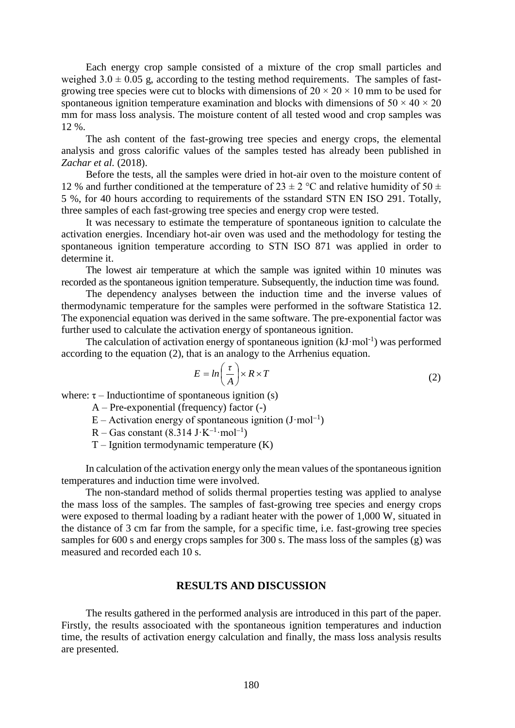Each energy crop sample consisted of a mixture of the crop small particles and weighed  $3.0 \pm 0.05$  g, according to the testing method requirements. The samples of fastgrowing tree species were cut to blocks with dimensions of  $20 \times 20 \times 10$  mm to be used for spontaneous ignition temperature examination and blocks with dimensions of  $50 \times 40 \times 20$ mm for mass loss analysis. The moisture content of all tested wood and crop samples was 12 %.

The ash content of the fast-growing tree species and energy crops, the elemental analysis and gross calorific values of the samples tested has already been published in *Zachar et al.* (2018).

Before the tests, all the samples were dried in hot-air oven to the moisture content of 12 % and further conditioned at the temperature of 23  $\pm$  2 °C and relative humidity of 50  $\pm$ 5 %, for 40 hours according to requirements of the sstandard STN EN ISO 291. Totally, three samples of each fast-growing tree species and energy crop were tested.

It was necessary to estimate the temperature of spontaneous ignition to calculate the activation energies. Incendiary hot-air oven was used and the methodology for testing the spontaneous ignition temperature according to STN ISO 871 was applied in order to determine it.

The lowest air temperature at which the sample was ignited within 10 minutes was recorded as the spontaneous ignition temperature. Subsequently, the induction time was found.

The dependency analyses between the induction time and the inverse values of thermodynamic temperature for the samples were performed in the software Statistica 12. The exponencial equation was derived in the same software. The pre-exponential factor was further used to calculate the activation energy of spontaneous ignition.

The calculation of activation energy of spontaneous ignition  $(kJ \cdot mol^{-1})$  was performed according to the equation (2), that is an analogy to the Arrhenius equation.

$$
E = \ln\left(\frac{\tau}{A}\right) \times R \times T \tag{2}
$$

where:  $\tau$  – Inductiontime of spontaneous ignition (s)

- A Pre-exponential (frequency) factor (-)
- $E -$  Activation energy of spontaneous ignition (J·mol<sup>-1</sup>)
- $R Gas constant (8.314 J·K<sup>-1</sup>·mol<sup>-1</sup>)$
- $T I$ gnition termodynamic temperature  $(K)$

In calculation of the activation energy only the mean values of the spontaneous ignition temperatures and induction time were involved.

The non-standard method of solids thermal properties testing was applied to analyse the mass loss of the samples. The samples of fast-growing tree species and energy crops were exposed to thermal loading by a radiant heater with the power of 1,000 W, situated in the distance of 3 cm far from the sample, for a specific time, i.e. fast-growing tree species samples for 600 s and energy crops samples for 300 s. The mass loss of the samples (g) was measured and recorded each 10 s.

## **RESULTS AND DISCUSSION**

The results gathered in the performed analysis are introduced in this part of the paper. Firstly, the results associoated with the spontaneous ignition temperatures and induction time, the results of activation energy calculation and finally, the mass loss analysis results are presented.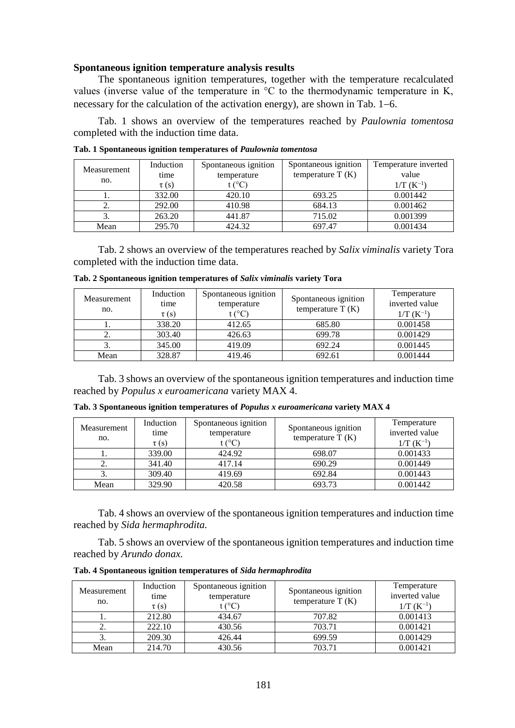#### **Spontaneous ignition temperature analysis results**

The spontaneous ignition temperatures, together with the temperature recalculated values (inverse value of the temperature in °C to the thermodynamic temperature in K, necessary for the calculation of the activation energy), are shown in Tab.  $1-6$ .

Tab. 1 shows an overview of the temperatures reached by *Paulownia tomentosa* completed with the induction time data.

| Measurement<br>no. | Induction<br>time<br>$\tau(s)$ | Spontaneous ignition<br>temperature<br>$t$ (°C) | Spontaneous ignition<br>temperature $T(K)$ | Temperature inverted<br>value<br>$1/T (K^{-1})$ |
|--------------------|--------------------------------|-------------------------------------------------|--------------------------------------------|-------------------------------------------------|
|                    | 332.00                         | 420.10                                          | 693.25                                     | 0.001442                                        |
| <u>.</u>           | 292.00                         | 410.98                                          | 684.13                                     | 0.001462                                        |
| 3.                 | 263.20                         | 441.87                                          | 715.02                                     | 0.001399                                        |
| Mean               | 295.70                         | 424.32                                          | 697.47                                     | 0.001434                                        |

**Tab. 1 Spontaneous ignition temperatures of** *Paulownia tomentosa*

Tab. 2 shows an overview of the temperatures reached by *Salix viminalis* variety Tora completed with the induction time data.

| Measurement<br>no. | Induction<br>time<br>$\tau(s)$ | Spontaneous ignition<br>temperature<br>$t$ (°C) | Spontaneous ignition<br>temperature $T(K)$ | Temperature<br>inverted value<br>$1/T(K^{-1})$ |
|--------------------|--------------------------------|-------------------------------------------------|--------------------------------------------|------------------------------------------------|
|                    | 338.20                         | 412.65                                          | 685.80                                     | 0.001458                                       |
| <u>.</u>           | 303.40                         | 426.63                                          | 699.78                                     | 0.001429                                       |
|                    | 345.00                         | 419.09                                          | 692.24                                     | 0.001445                                       |
| Mean               | 328.87                         | 419.46                                          | 692.61                                     | 0.001444                                       |

**Tab. 2 Spontaneous ignition temperatures of** *Salix viminalis* **variety Tora**

Tab. 3 shows an overview of the spontaneous ignition temperatures and induction time reached by *Populus x euroamericana* variety MAX 4.

|  |  | Tab. 3 Spontaneous ignition temperatures of Populus x euroamericana variety MAX 4 |  |  |  |
|--|--|-----------------------------------------------------------------------------------|--|--|--|
|  |  |                                                                                   |  |  |  |

|                    | Induction | Spontaneous ignition |                      | Temperature    |
|--------------------|-----------|----------------------|----------------------|----------------|
| Measurement<br>no. | time      | temperature          | Spontaneous ignition | inverted value |
|                    | $\tau(s)$ | t (°C)               | temperature $T(K)$   | $1/T(K^{-1})$  |
|                    | 339.00    | 424.92               | 698.07               | 0.001433       |
| 2.                 | 341.40    | 417.14               | 690.29               | 0.001449       |
|                    | 309.40    | 419.69               | 692.84               | 0.001443       |
| Mean               | 329.90    | 420.58               | 693.73               | 0.001442       |

Tab. 4 shows an overview of the spontaneous ignition temperatures and induction time reached by *Sida hermaphrodita.*

Tab. 5 shows an overview of the spontaneous ignition temperatures and induction time reached by *Arundo donax.*

| Measurement<br>no. | Induction<br>time<br>$\tau(s)$ | Spontaneous ignition<br>temperature<br>$(^\circ C)$ | Spontaneous ignition<br>temperature $T(K)$ | Temperature<br>inverted value<br>$1/T (K^{-1})$ |
|--------------------|--------------------------------|-----------------------------------------------------|--------------------------------------------|-------------------------------------------------|
|                    | 212.80                         | 434.67                                              | 707.82                                     | 0.001413                                        |
|                    | 222.10                         | 430.56                                              | 703.71                                     | 0.001421                                        |
| 3.                 | 209.30                         | 426.44                                              | 699.59                                     | 0.001429                                        |
| Mean               | 214.70                         | 430.56                                              | 703.71                                     | 0.001421                                        |

**Tab. 4 Spontaneous ignition temperatures of** *Sida hermaphrodita*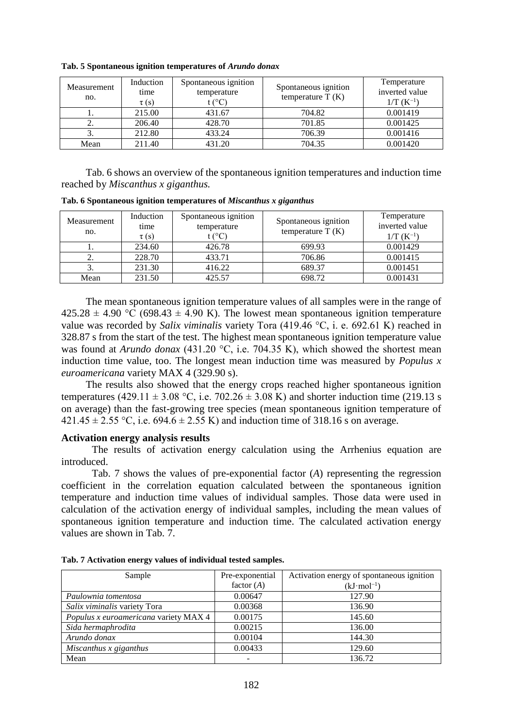| Measurement<br>no. | Induction<br>time<br>$\tau(s)$ | Spontaneous ignition<br>temperature<br>t (°C) | Spontaneous ignition<br>temperature $T(K)$ | Temperature<br>inverted value<br>$1/T(K^{-1})$ |
|--------------------|--------------------------------|-----------------------------------------------|--------------------------------------------|------------------------------------------------|
| .,                 | 215.00                         | 431.67                                        | 704.82                                     | 0.001419                                       |
|                    | 206.40                         | 428.70                                        | 701.85                                     | 0.001425                                       |
|                    | 212.80                         | 433.24                                        | 706.39                                     | 0.001416                                       |
| Mean               | 211.40                         | 431.20                                        | 704.35                                     | 0.001420                                       |

**Tab. 5 Spontaneous ignition temperatures of** *Arundo donax*

Tab. 6 shows an overview of the spontaneous ignition temperatures and induction time reached by *Miscanthus x giganthus.*

**Tab. 6 Spontaneous ignition temperatures of** *Miscanthus x giganthus*

| Measurement<br>no. | Induction<br>time<br>$\tau(s)$ | Spontaneous ignition<br>temperature<br>t (°C) | Spontaneous ignition<br>temperature $T(K)$ | Temperature<br>inverted value<br>$1/T(K^{-1})$ |
|--------------------|--------------------------------|-----------------------------------------------|--------------------------------------------|------------------------------------------------|
|                    | 234.60                         | 426.78                                        | 699.93                                     | 0.001429                                       |
|                    | 228.70                         | 433.71                                        | 706.86                                     | 0.001415                                       |
|                    | 231.30                         | 416.22                                        | 689.37                                     | 0.001451                                       |
| Mean               | 231.50                         | 425.57                                        | 698.72                                     | 0.001431                                       |

The mean spontaneous ignition temperature values of all samples were in the range of  $425.28 \pm 4.90$  °C (698.43  $\pm$  4.90 K). The lowest mean spontaneous ignition temperature value was recorded by *Salix viminalis* variety Tora (419.46 °C, i. e. 692.61 K) reached in 328.87 s from the start of the test. The highest mean spontaneous ignition temperature value was found at *Arundo donax* (431.20 °C, i.e. 704.35 K), which showed the shortest mean induction time value, too. The longest mean induction time was measured by *Populus x euroamericana* variety MAX 4 (329.90 s).

The results also showed that the energy crops reached higher spontaneous ignition temperatures (429.11  $\pm$  3.08 °C, i.e. 702.26  $\pm$  3.08 K) and shorter induction time (219.13 s on average) than the fast-growing tree species (mean spontaneous ignition temperature of  $421.45 \pm 2.55$  °C, i.e.  $694.6 \pm 2.55$  K) and induction time of 318.16 s on average.

#### **Activation energy analysis results**

The results of activation energy calculation using the Arrhenius equation are introduced.

Tab. 7 shows the values of pre-exponential factor (*A*) representing the regression coefficient in the correlation equation calculated between the spontaneous ignition temperature and induction time values of individual samples. Those data were used in calculation of the activation energy of individual samples, including the mean values of spontaneous ignition temperature and induction time. The calculated activation energy values are shown in Tab. 7.

| Sample                                | Pre-exponential | Activation energy of spontaneous ignition |
|---------------------------------------|-----------------|-------------------------------------------|
|                                       | factor $(A)$    | $(kJ \cdot mol^{-1})$                     |
| Paulownia tomentosa                   | 0.00647         | 127.90                                    |
| Salix viminalis variety Tora          | 0.00368         | 136.90                                    |
| Populus x euroamericana variety MAX 4 | 0.00175         | 145.60                                    |
| Sida hermaphrodita                    | 0.00215         | 136.00                                    |
| Arundo donax                          | 0.00104         | 144.30                                    |
| Miscanthus x giganthus                | 0.00433         | 129.60                                    |
| Mean                                  |                 | 136.72                                    |

**Tab. 7 Activation energy values of individual tested samples.**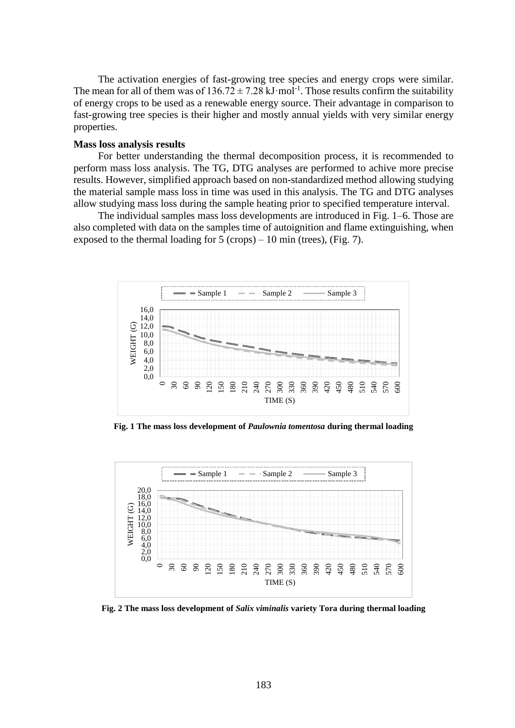The activation energies of fast-growing tree species and energy crops were similar. The mean for all of them was of  $136.72 \pm 7.28 \text{ kJ} \cdot \text{mol}^{-1}$ . Those results confirm the suitability of energy crops to be used as a renewable energy source. Their advantage in comparison to fast-growing tree species is their higher and mostly annual yields with very similar energy properties.

#### **Mass loss analysis results**

For better understanding the thermal decomposition process, it is recommended to perform mass loss analysis. The TG, DTG analyses are performed to achive more precise results. However, simplified approach based on non-standardized method allowing studying the material sample mass loss in time was used in this analysis. The TG and DTG analyses allow studying mass loss during the sample heating prior to specified temperature interval.

The individual samples mass loss developments are introduced in Fig. 1–6. Those are also completed with data on the samples time of autoignition and flame extinguishing, when exposed to the thermal loading for  $5$  (crops) – 10 min (trees), (Fig. 7).



**Fig. 1 The mass loss development of** *Paulownia tomentosa* **during thermal loading**



**Fig. 2 The mass loss development of** *Salix viminalis* **variety Tora during thermal loading**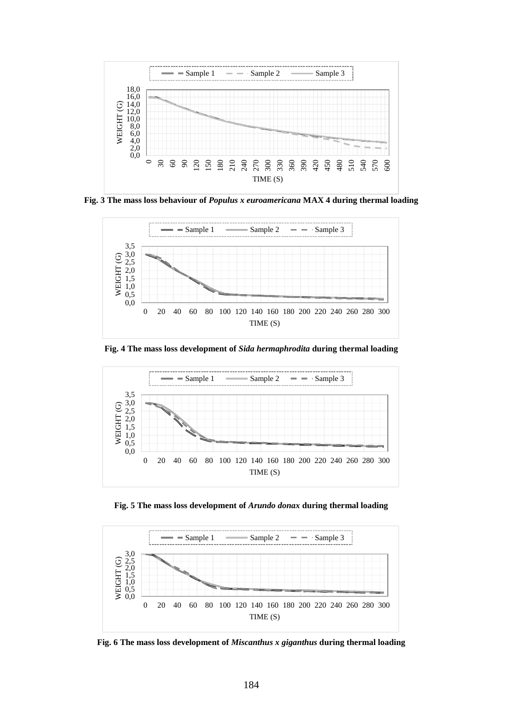

**Fig. 3 The mass loss behaviour of** *Populus x euroamericana* **MAX 4 during thermal loading**



**Fig. 4 The mass loss development of** *Sida hermaphrodita* **during thermal loading**



**Fig. 5 The mass loss development of** *Arundo donax* **during thermal loading**



**Fig. 6 The mass loss development of** *Miscanthus x giganthus* **during thermal loading**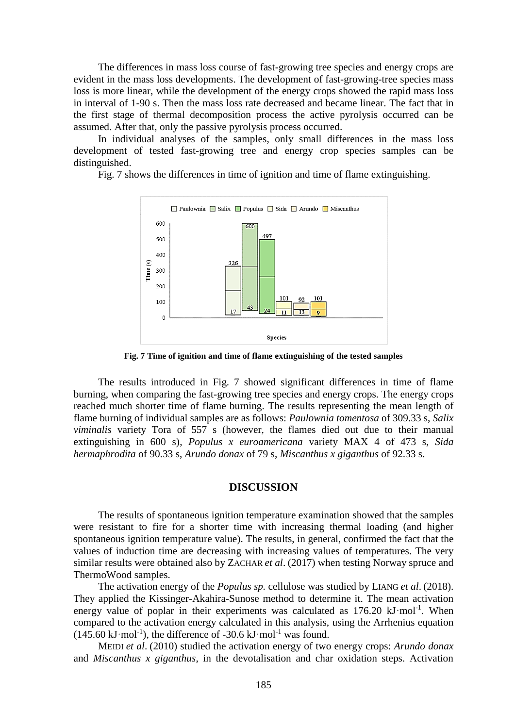The differences in mass loss course of fast-growing tree species and energy crops are evident in the mass loss developments. The development of fast-growing-tree species mass loss is more linear, while the development of the energy crops showed the rapid mass loss in interval of 1-90 s. Then the mass loss rate decreased and became linear. The fact that in the first stage of thermal decomposition process the active pyrolysis occurred can be assumed. After that, only the passive pyrolysis process occurred.

In individual analyses of the samples, only small differences in the mass loss development of tested fast-growing tree and energy crop species samples can be distinguished.

Fig. 7 shows the differences in time of ignition and time of flame extinguishing.



**Fig. 7 Time of ignition and time of flame extinguishing of the tested samples**

The results introduced in Fig. 7 showed significant differences in time of flame burning, when comparing the fast-growing tree species and energy crops. The energy crops reached much shorter time of flame burning. The results representing the mean length of flame burning of individual samples are as follows: *Paulownia tomentosa* of 309.33 s, *Salix viminalis* variety Tora of 557 s (however, the flames died out due to their manual extinguishing in 600 s), *Populus x euroamericana* variety MAX 4 of 473 s, *Sida hermaphrodita* of 90.33 s, *Arundo donax* of 79 s, *Miscanthus x giganthus* of 92.33 s.

#### **DISCUSSION**

The results of spontaneous ignition temperature examination showed that the samples were resistant to fire for a shorter time with increasing thermal loading (and higher spontaneous ignition temperature value). The results, in general, confirmed the fact that the values of induction time are decreasing with increasing values of temperatures. The very similar results were obtained also by ZACHAR *et al*. (2017) when testing Norway spruce and ThermoWood samples.

The activation energy of the *Populus sp.* cellulose was studied by LIANG *et al*. (2018). They applied the Kissinger-Akahira-Sunose method to determine it. The mean activation energy value of poplar in their experiments was calculated as  $176.20 \text{ kJ·mol}^{-1}$ . When compared to the activation energy calculated in this analysis, using the Arrhenius equation  $(145.60 \text{ kJ} \cdot \text{mol}^{-1})$ , the difference of -30.6 kJ $\cdot$ mol<sup>-1</sup> was found.

MEIDI *et al*. (2010) studied the activation energy of two energy crops: *Arundo donax* and *Miscanthus x giganthus*, in the devotalisation and char oxidation steps. Activation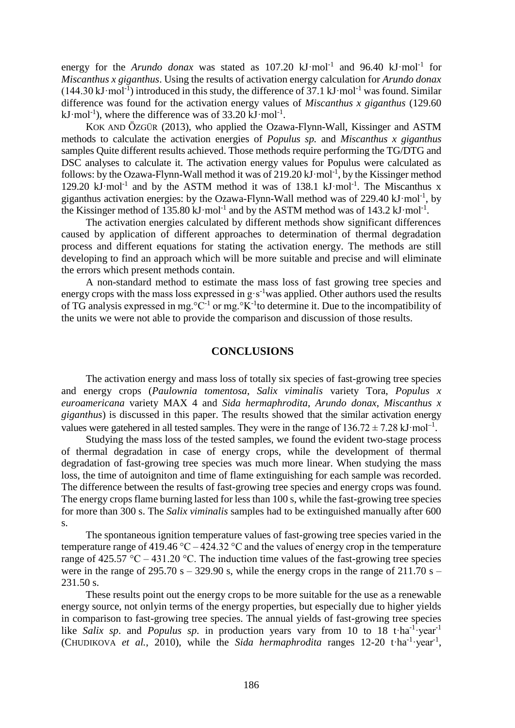energy for the *Arundo donax* was stated as  $107.20 \text{ kJ·mol}^{-1}$  and  $96.40 \text{ kJ·mol}^{-1}$  for *Miscanthus x giganthus*. Using the results of activation energy calculation for *Arundo donax*  $(144.30 \text{ kJ·mol<sup>-1</sup>)$  introduced in this study, the difference of 37.1 kJ·mol<sup>-1</sup> was found. Similar difference was found for the activation energy values of *Miscanthus x giganthus* (129.60 kJ·mol<sup>-1</sup>), where the difference was of  $33.20 \text{ kJ·mol}^{-1}$ .

KOK AND ÖZGÜR (2013), who applied the Ozawa-Flynn-Wall, Kissinger and ASTM methods to calculate the activation energies of *Populus sp.* and *Miscanthus x giganthus* samples Quite different results achieved. Those methods require performing the TG/DTG and DSC analyses to calculate it. The activation energy values for Populus were calculated as follows: by the Ozawa-Flynn-Wall method it was of  $219.20 \text{ kJ} \cdot \text{mol}^{-1}$ , by the Kissinger method 129.20  $kJ \cdot mol^{-1}$  and by the ASTM method it was of 138.1  $kJ \cdot mol^{-1}$ . The Miscanthus x giganthus activation energies: by the Ozawa-Flynn-Wall method was of 229.40 kJ·mol<sup>-1</sup>, by the Kissinger method of 135.80 kJ·mol<sup>-1</sup> and by the ASTM method was of 143.2 kJ·mol<sup>-1</sup>.

The activation energies calculated by different methods show significant differences caused by application of different approaches to determination of thermal degradation process and different equations for stating the activation energy. The methods are still developing to find an approach which will be more suitable and precise and will eliminate the errors which present methods contain.

A non-standard method to estimate the mass loss of fast growing tree species and energy crops with the mass loss expressed in  $g·s^{-1}$  was applied. Other authors used the results of TG analysis expressed in mg.  ${}^{\circ}C^{-1}$  or mg.  ${}^{\circ}K^{-1}$ to determine it. Due to the incompatibility of the units we were not able to provide the comparison and discussion of those results.

## **CONCLUSIONS**

The activation energy and mass loss of totally six species of fast-growing tree species and energy crops (*Paulownia tomentosa*, *Salix viminalis* variety Tora, *Populus x euroamericana* variety MAX 4 and *Sida hermaphrodita*, *Arundo donax*, *Miscanthus x giganthus*) is discussed in this paper. The results showed that the similar activation energy values were gatehered in all tested samples. They were in the range of  $136.72 \pm 7.28 \text{ kJ·mol}^{-1}$ .

Studying the mass loss of the tested samples, we found the evident two-stage process of thermal degradation in case of energy crops, while the development of thermal degradation of fast-growing tree species was much more linear. When studying the mass loss, the time of autoigniton and time of flame extinguishing for each sample was recorded. The difference between the results of fast-growing tree species and energy crops was found. The energy crops flame burning lasted for less than 100 s, while the fast-growing tree species for more than 300 s. The *Salix viminalis* samples had to be extinguished manually after 600 s.

The spontaneous ignition temperature values of fast-growing tree species varied in the temperature range of 419.46  $^{\circ}$ C – 424.32  $^{\circ}$ C and the values of energy crop in the temperature range of 425.57 °C – 431.20 °C. The induction time values of the fast-growing tree species were in the range of 295.70 s – 329.90 s, while the energy crops in the range of 211.70 s – 231.50 s.

These results point out the energy crops to be more suitable for the use as a renewable energy source, not onlyin terms of the energy properties, but especially due to higher yields in comparison to fast-growing tree species. The annual yields of fast-growing tree species like *Salix sp*. and *Populus sp*. in production years vary from 10 to 18 t·ha<sup>-1</sup>·year<sup>-1</sup> (CHUDIKOVA et al., 2010), while the *Sida hermaphrodita* ranges  $12{\text -}20$  t·ha<sup>-1</sup>·year<sup>-1</sup>,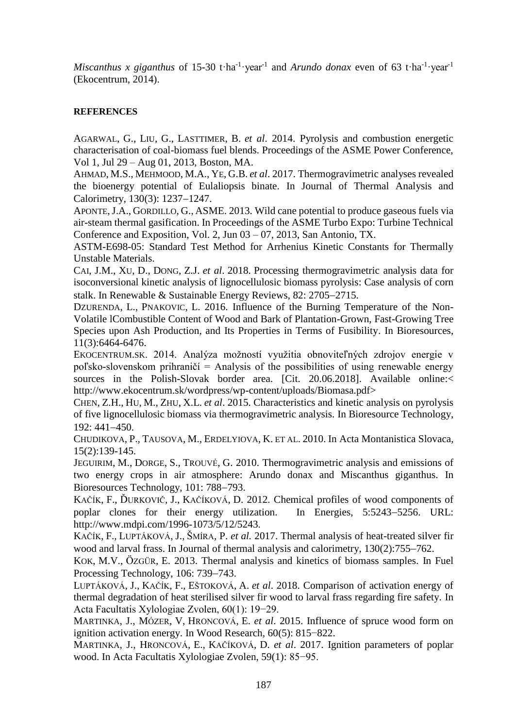*Miscanthus x giganthus* of 15-30 t·ha<sup>-1</sup>·year<sup>-1</sup> and *Arundo donax* even of 63 t·ha<sup>-1</sup>·year<sup>-1</sup> (Ekocentrum, 2014).

## **REFERENCES**

AGARWAL, G., LIU, G., LASTTIMER, B. *et al*. 2014. Pyrolysis and combustion energetic characterisation of coal-biomass fuel blends. Proceedings of the ASME Power Conference, Vol 1, Jul 29 – Aug 01, 2013, Boston, MA.

AHMAD, M.S., MEHMOOD, M.A., YE, G.B. *et al*. 2017. Thermogravimetric analyses revealed the bioenergy potential of Eulaliopsis binate. In Journal of Thermal Analysis and Calorimetry, 130(3): 1237-1247.

APONTE,J.A., GORDILLO, G., ASME. 2013. Wild cane potential to produce gaseous fuels via air-steam thermal gasification. In Proceedings of the ASME Turbo Expo: Turbine Technical Conference and Exposition, Vol. 2, Jun 03 – 07, 2013, San Antonio, TX.

ASTM-E698-05: Standard Test Method for Arrhenius Kinetic Constants for Thermally Unstable Materials.

CAI, J.M., XU, D., DONG, Z.J. *et al*. 2018. Processing thermogravimetric analysis data for isoconversional kinetic analysis of lignocellulosic biomass pyrolysis: Case analysis of corn stalk. In Renewable & Sustainable Energy Reviews, 82:  $2705-2715$ .

DZURENDA, L., PNAKOVIC, L. 2016. Influence of the Burning Temperature of the Non-Volatile lCombustible Content of Wood and Bark of Plantation-Grown, Fast-Growing Tree Species upon Ash Production, and Its Properties in Terms of Fusibility. In Bioresources, 11(3):6464-6476.

EKOCENTRUM.SK. 2014. Analýza možností využitia obnoviteľných zdrojov energie v poľsko-slovenskom prihraničí = Analysis of the possibilities of using renewable energy sources in the Polish-Slovak border area. [Cit. 20.06.2018]. Available online:< http://www.ekocentrum.sk/wordpress/wp-content/uploads/Biomasa.pdf>

CHEN, Z.H., HU, M., ZHU, X.L. *et al*. 2015. Characteristics and kinetic analysis on pyrolysis of five lignocellulosic biomass via thermogravimetric analysis. In Bioresource Technology,  $192: 441 - 450.$ 

CHUDIKOVA, P., TAUSOVA, M., ERDELYIOVA, K. ET AL. 2010. In Acta Montanistica Slovaca, 15(2):139-145.

JEGUIRIM, M., DORGE, S., TROUVÉ, G. 2010. Thermogravimetric analysis and emissions of two energy crops in air atmosphere: Arundo donax and Miscanthus giganthus. In Bioresources Technology, 101: 788-793.

KAČÍK, F., ĎURKOVIČ, J., KAČÍKOVÁ, D. 2012. Chemical profiles of wood components of poplar clones for their energy utilization. In Energies, 5:5243-5256. URL: http://www.mdpi.com/1996-1073/5/12/5243.

KAČÍK, F., LUPTÁKOVÁ, J., ŠMÍRA, P. *et al.* 2017. Thermal analysis of heat-treated silver fir wood and larval frass. In Journal of thermal analysis and calorimetry,  $130(2)$ :755–762.

KOK, M.V., ÖZGÜR, E. 2013. Thermal analysis and kinetics of biomass samples. In Fuel Processing Technology, 106: 739–743.

LUPTÁKOVÁ, J., KAČÍK, F., EŠTOKOVÁ, A. *et al*. 2018. Comparison of activation energy of thermal degradation of heat sterilised silver fir wood to larval frass regarding fire safety. In Acta Facultatis Xylologiae Zvolen, 60(1): 19−29.

MARTINKA, J., MÓZER, V, HRONCOVÁ, E. *et al*. 2015. Influence of spruce wood form on ignition activation energy. In Wood Research, 60(5): 815−822.

MARTINKA, J., HRONCOVÁ, E., KAČÍKOVÁ, D. *et al*. 2017. Ignition parameters of poplar wood. In Acta Facultatis Xylologiae Zvolen, 59(1): 85−95.